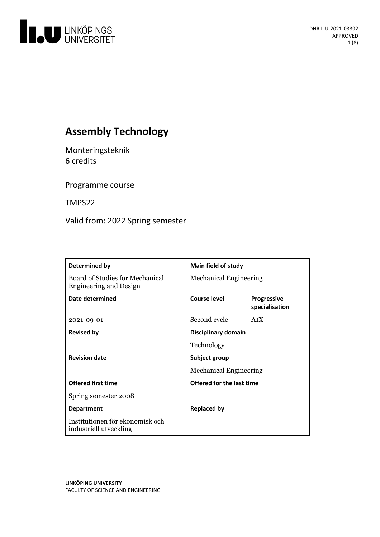

# **Assembly Technology**

Monteringsteknik 6 credits

Programme course

TMPS22

Valid from: 2022 Spring semester

| Determined by                                                    | <b>Main field of study</b>    |                                      |
|------------------------------------------------------------------|-------------------------------|--------------------------------------|
| Board of Studies for Mechanical<br><b>Engineering and Design</b> | <b>Mechanical Engineering</b> |                                      |
| Date determined                                                  | <b>Course level</b>           | <b>Progressive</b><br>specialisation |
| 2021-09-01                                                       | Second cycle                  | A <sub>1</sub> X                     |
| <b>Revised by</b>                                                | Disciplinary domain           |                                      |
|                                                                  | Technology                    |                                      |
| <b>Revision date</b>                                             | Subject group                 |                                      |
|                                                                  | <b>Mechanical Engineering</b> |                                      |
| <b>Offered first time</b>                                        | Offered for the last time     |                                      |
| Spring semester 2008                                             |                               |                                      |
| <b>Department</b>                                                | <b>Replaced by</b>            |                                      |
| Institutionen för ekonomisk och<br>industriell utveckling        |                               |                                      |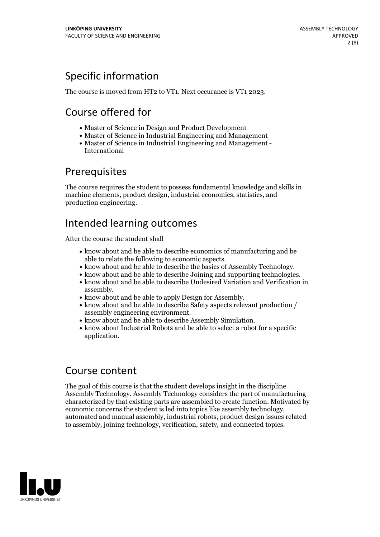# Specific information

The course is moved from HT2 to VT1. Next occurance is VT1 2023.

# Course offered for

- Master of Science in Design and Product Development
- Master of Science in Industrial Engineering and Management
- Master of Science in Industrial Engineering and Management International

## Prerequisites

The course requires the student to possess fundamental knowledge and skills in machine elements, product design, industrial economics, statistics, and production engineering.

# Intended learning outcomes

After the course the student shall

- know about and be able to describe economics of manufacturing and be
- 
- 
- able to relate the following to economic aspects.<br>
know about and be able to describe the basics of Assembly Technology.<br>
know about and be able to describe Joining and supporting technologies.<br>
know about and be abl assembly.<br>• know about and be able to apply Design for Assembly.<br>• know about and be able to describe Safety aspects relevant production /
- 
- assembly engineering environment.<br>
know about and be able to describe Assembly Simulation.<br>
know about Industrial Robots and be able to select a robot for a specific
- 
- application.

## Course content

The goal of this course is that the student develops insight in the discipline Assembly Technology. Assembly Technology considers the part of manufacturing characterized by that existing parts are assembled to create function. Motivated by economic concerns the student is led into topics like assembly technology, automated and manual assembly, industrial robots, product design issues related to assembly, joining technology, verification, safety, and connected topics.

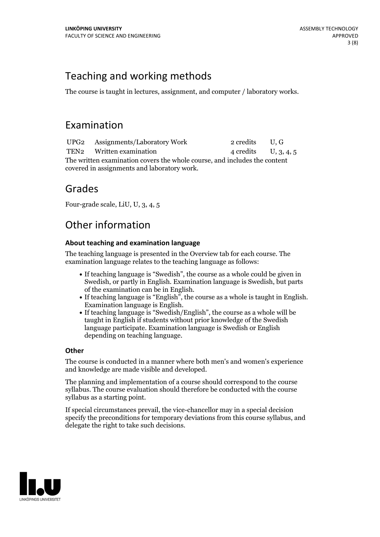# Teaching and working methods

The course is taught in lectures, assignment, and computer / laboratory works.

## Examination

UPG2 Assignments/Laboratory Work 2 credits U, G TEN2 Written examination 4 credits U, 3, 4, 5 The written examination covers the whole course, and includes the content covered in assignments and laboratory work.

## Grades

Four-grade scale, LiU, U, 3, 4, 5

## Other information

## **About teaching and examination language**

The teaching language is presented in the Overview tab for each course. The examination language relates to the teaching language as follows:

- If teaching language is "Swedish", the course as a whole could be given in Swedish, or partly in English. Examination language is Swedish, but parts
- If teaching language is "English", the course as a whole is taught in English.<br>Examination language is English.<br>If teaching language is "Swedish/English", the course as a whole will be
- taught in English if students without prior knowledge of the Swedish language participate. Examination language is Swedish or English depending on teaching language.

## **Other**

The course is conducted in a manner where both men's and women's experience and knowledge are made visible and developed.

The planning and implementation of a course should correspond to the course syllabus. The course evaluation should therefore be conducted with the course syllabus as a starting point.

If special circumstances prevail, the vice-chancellor may in a special decision specify the preconditions for temporary deviations from this course syllabus, and delegate the right to take such decisions.

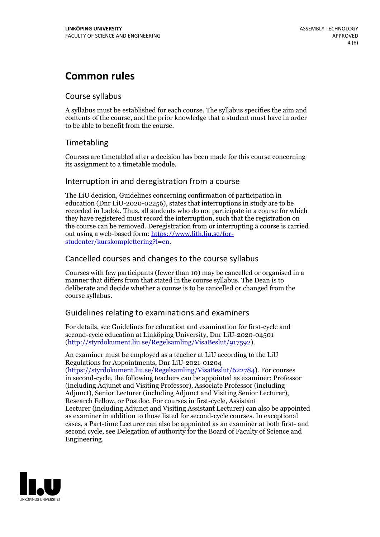# **Common rules**

## Course syllabus

A syllabus must be established for each course. The syllabus specifies the aim and contents of the course, and the prior knowledge that a student must have in order to be able to benefit from the course.

## Timetabling

Courses are timetabled after a decision has been made for this course concerning its assignment to a timetable module.

## Interruption in and deregistration from a course

The LiU decision, Guidelines concerning confirmation of participation in education (Dnr LiU-2020-02256), states that interruptions in study are to be recorded in Ladok. Thus, all students who do not participate in a course for which they have registered must record the interruption, such that the registration on the course can be removed. Deregistration from or interrupting a course is carried out using <sup>a</sup> web-based form: https://www.lith.liu.se/for- [studenter/kurskomplettering?l=en.](https://www.lith.liu.se/for-studenter/kurskomplettering?l=en)

## Cancelled courses and changes to the course syllabus

Courses with few participants (fewer than 10) may be cancelled or organised in a manner that differs from that stated in the course syllabus. The Dean is to deliberate and decide whether a course is to be cancelled or changed from the course syllabus.

## Guidelines relating to examinations and examiners

For details, see Guidelines for education and examination for first-cycle and second-cycle education at Linköping University, Dnr LiU-2020-04501 [\(http://styrdokument.liu.se/Regelsamling/VisaBeslut/917592\)](http://styrdokument.liu.se/Regelsamling/VisaBeslut/917592).

An examiner must be employed as a teacher at LiU according to the LiU Regulations for Appointments, Dnr LiU-2021-01204 [\(https://styrdokument.liu.se/Regelsamling/VisaBeslut/622784](https://styrdokument.liu.se/Regelsamling/VisaBeslut/622784)). For courses in second-cycle, the following teachers can be appointed as examiner: Professor (including Adjunct and Visiting Professor), Associate Professor (including Adjunct), Senior Lecturer (including Adjunct and Visiting Senior Lecturer), Research Fellow, or Postdoc. For courses in first-cycle, Assistant Lecturer (including Adjunct and Visiting Assistant Lecturer) can also be appointed as examiner in addition to those listed for second-cycle courses. In exceptional cases, a Part-time Lecturer can also be appointed as an examiner at both first- and second cycle, see Delegation of authority for the Board of Faculty of Science and Engineering.

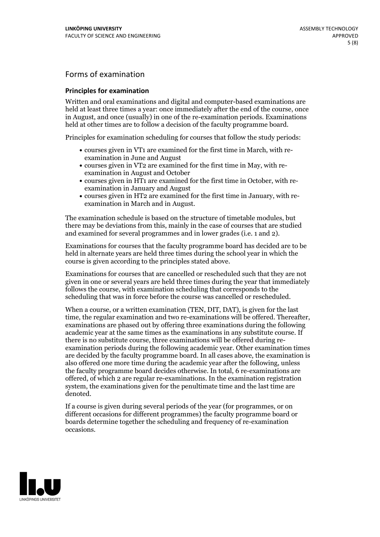## Forms of examination

### **Principles for examination**

Written and oral examinations and digital and computer-based examinations are held at least three times a year: once immediately after the end of the course, once in August, and once (usually) in one of the re-examination periods. Examinations held at other times are to follow a decision of the faculty programme board.

Principles for examination scheduling for courses that follow the study periods:

- courses given in VT1 are examined for the first time in March, with re-examination in June and August
- courses given in VT2 are examined for the first time in May, with re-examination in August and October
- courses given in HT1 are examined for the first time in October, with re-examination in January and August
- courses given in HT2 are examined for the first time in January, with re-examination in March and in August.

The examination schedule is based on the structure of timetable modules, but there may be deviations from this, mainly in the case of courses that are studied and examined for several programmes and in lower grades (i.e. 1 and 2).

Examinations for courses that the faculty programme board has decided are to be held in alternate years are held three times during the school year in which the course is given according to the principles stated above.

Examinations for courses that are cancelled orrescheduled such that they are not given in one or several years are held three times during the year that immediately follows the course, with examination scheduling that corresponds to the scheduling that was in force before the course was cancelled or rescheduled.

When a course, or a written examination (TEN, DIT, DAT), is given for the last time, the regular examination and two re-examinations will be offered. Thereafter, examinations are phased out by offering three examinations during the following academic year at the same times as the examinations in any substitute course. If there is no substitute course, three examinations will be offered during re- examination periods during the following academic year. Other examination times are decided by the faculty programme board. In all cases above, the examination is also offered one more time during the academic year after the following, unless the faculty programme board decides otherwise. In total, 6 re-examinations are offered, of which 2 are regular re-examinations. In the examination registration system, the examinations given for the penultimate time and the last time are denoted.

If a course is given during several periods of the year (for programmes, or on different occasions for different programmes) the faculty programme board or boards determine together the scheduling and frequency of re-examination occasions.

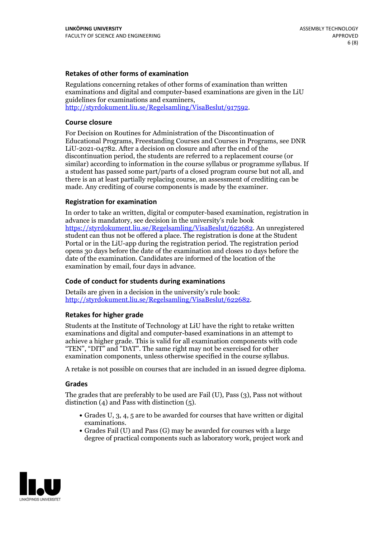### **Retakes of other forms of examination**

Regulations concerning retakes of other forms of examination than written examinations and digital and computer-based examinations are given in the LiU guidelines for examinations and examiners, [http://styrdokument.liu.se/Regelsamling/VisaBeslut/917592.](http://styrdokument.liu.se/Regelsamling/VisaBeslut/917592)

#### **Course closure**

For Decision on Routines for Administration of the Discontinuation of Educational Programs, Freestanding Courses and Courses in Programs, see DNR LiU-2021-04782. After a decision on closure and after the end of the discontinuation period, the students are referred to a replacement course (or similar) according to information in the course syllabus or programme syllabus. If a student has passed some part/parts of a closed program course but not all, and there is an at least partially replacing course, an assessment of crediting can be made. Any crediting of course components is made by the examiner.

#### **Registration for examination**

In order to take an written, digital or computer-based examination, registration in advance is mandatory, see decision in the university's rule book [https://styrdokument.liu.se/Regelsamling/VisaBeslut/622682.](https://styrdokument.liu.se/Regelsamling/VisaBeslut/622682) An unregistered student can thus not be offered a place. The registration is done at the Student Portal or in the LiU-app during the registration period. The registration period opens 30 days before the date of the examination and closes 10 days before the date of the examination. Candidates are informed of the location of the examination by email, four days in advance.

#### **Code of conduct for students during examinations**

Details are given in a decision in the university's rule book: <http://styrdokument.liu.se/Regelsamling/VisaBeslut/622682>.

#### **Retakes for higher grade**

Students at the Institute of Technology at LiU have the right to retake written examinations and digital and computer-based examinations in an attempt to achieve a higher grade. This is valid for all examination components with code "TEN", "DIT" and "DAT". The same right may not be exercised for other examination components, unless otherwise specified in the course syllabus.

A retake is not possible on courses that are included in an issued degree diploma.

#### **Grades**

The grades that are preferably to be used are Fail (U), Pass (3), Pass not without distinction  $(4)$  and Pass with distinction  $(5)$ .

- Grades U, 3, 4, 5 are to be awarded for courses that have written or digital examinations.<br>• Grades Fail (U) and Pass (G) may be awarded for courses with a large
- degree of practical components such as laboratory work, project work and

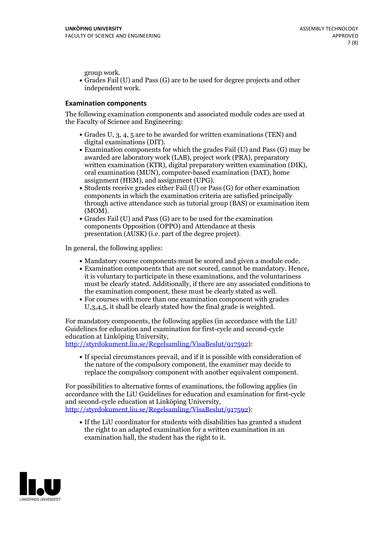group work.<br>• Grades Fail (U) and Pass (G) are to be used for degree projects and other independent work.

### **Examination components**

The following examination components and associated module codes are used at the Faculty of Science and Engineering:

- Grades U, 3, 4, 5 are to be awarded for written examinations (TEN) and
- digital examinations (DIT).<br>• Examination components for which the grades Fail (U) and Pass (G) may be awarded are laboratory work (LAB), project work (PRA), preparatory written examination (KTR), digital preparatory written examination (DIK), oral examination (MUN), computer-based examination (DAT), home
- assignment (HEM), and assignment (UPG).<br>• Students receive grades either Fail (U) or Pass (G) for other examination components in which the examination criteria are satisfied principally through active attendance such as tutorial group (BAS) or examination item
- (MOM).<br>• Grades Fail (U) and Pass (G) are to be used for the examination components Opposition (OPPO) and Attendance at thesis presentation (AUSK) (i.e. part of the degree project).

In general, the following applies:

- 
- Mandatory course components must be scored and given <sup>a</sup> module code. Examination components that are not scored, cannot be mandatory. Hence, it is voluntary to participate in these examinations, and the voluntariness must be clearly stated. Additionally, if there are any associated conditions to
- the examination component, these must be clearly stated as well.<br>• For courses with more than one examination component with grades U,3,4,5, it shall be clearly stated how the final grade is weighted.

For mandatory components, the following applies (in accordance with the LiU Guidelines for education and examination for first-cycle and second-cycle education at Linköping University,<br>[http://styrdokument.liu.se/Regelsamling/VisaBeslut/917592\)](http://styrdokument.liu.se/Regelsamling/VisaBeslut/917592):

If special circumstances prevail, and if it is possible with consideration of the nature of the compulsory component, the examiner may decide to replace the compulsory component with another equivalent component.

For possibilities to alternative forms of examinations, the following applies (in accordance with the LiU Guidelines for education and examination for first-cycle [http://styrdokument.liu.se/Regelsamling/VisaBeslut/917592\)](http://styrdokument.liu.se/Regelsamling/VisaBeslut/917592):

If the LiU coordinator for students with disabilities has granted a student the right to an adapted examination for a written examination in an examination hall, the student has the right to it.